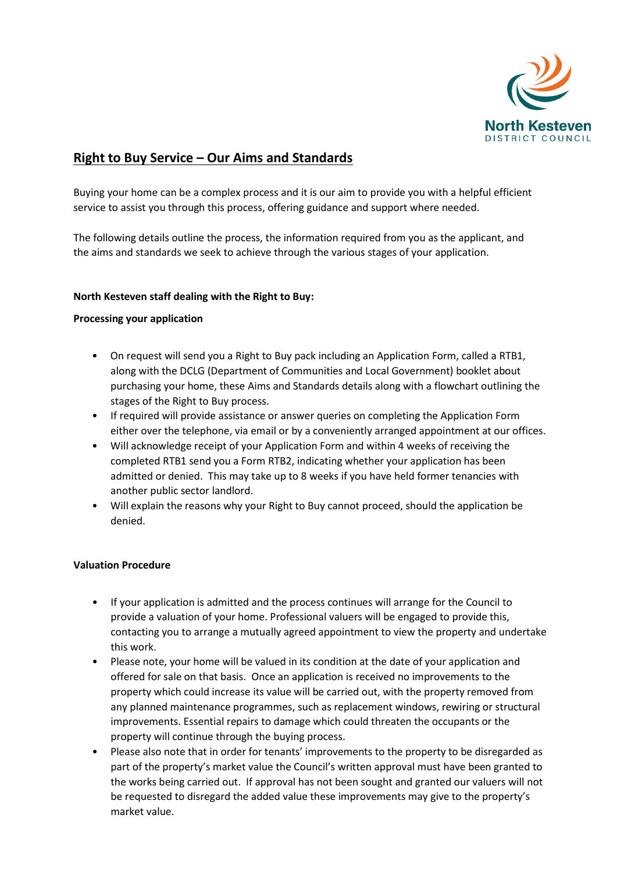

# **Right to Buy Service – Our Aims and Standards**

Buying your home can be a complex process and it is our aim to provide you with a helpful efficient service to assist you through this process, offering guidance and support where needed.

The following details outline the process, the information required from you as the applicant, and the aims and standards we seek to achieve through the various stages of your application.

## **North Kesteven staff dealing with the Right to Buy:**

## **Processing your application**

- On request will send you a Right to Buy pack including an Application Form, called a RTB1, along with the DCLG (Department of Communities and Local Government) booklet about purchasing your home, these Aims and Standards details along with a flowchart outlining the stages of the Right to Buy process.
- If required will provide assistance or answer queries on completing the Application Form either over the telephone, via email or by a conveniently arranged appointment at our offices.
- Will acknowledge receipt of your Application Form and within 4 weeks of receiving the completed RTB1 send you a Form RTB2, indicating whether your application has been admitted or denied. This may take up to 8 weeks if you have held former tenancies with another public sector landlord.
- Will explain the reasons why your Right to Buy cannot proceed, should the application be denied.

# **Valuation Procedure**

- If your application is admitted and the process continues will arrange for the Council to provide a valuation of your home. Professional valuers will be engaged to provide this, contacting you to arrange a mutually agreed appointment to view the property and undertake this work.
- Please note, your home will be valued in its condition at the date of your application and offered for sale on that basis. Once an application is received no improvements to the property which could increase its value will be carried out, with the property removed from any planned maintenance programmes, such as replacement windows, rewiring or structural improvements. Essential repairs to damage which could threaten the occupants or the property will continue through the buying process.
- Please also note that in order for tenants' improvements to the property to be disregarded as part of the property's market value the Council's written approval must have been granted to the works being carried out. If approval has not been sought and granted our valuers will not be requested to disregard the added value these improvements may give to the property's market value.